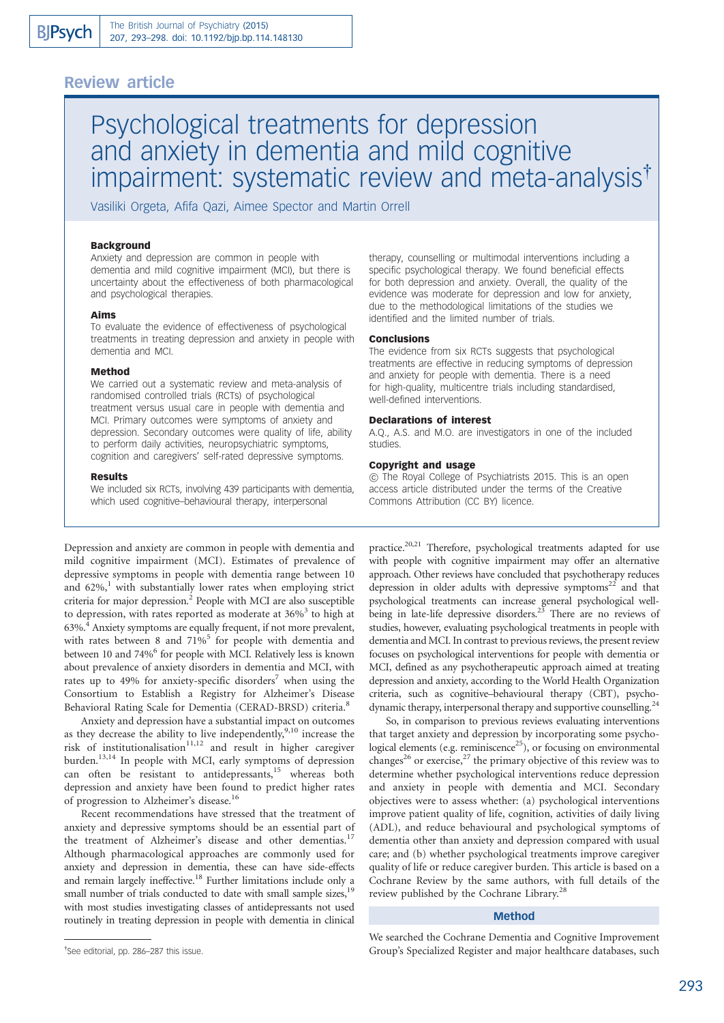## Review article

# Psychological treatments for depression and anxiety in dementia and mild cognitive impairment: systematic review and meta-analysis<sup>†</sup>

Vasiliki Orgeta, Afifa Qazi, Aimee Spector and Martin Orrell

### Background

Anxiety and depression are common in people with dementia and mild cognitive impairment (MCI), but there is uncertainty about the effectiveness of both pharmacological and psychological therapies.

#### Aims

To evaluate the evidence of effectiveness of psychological treatments in treating depression and anxiety in people with dementia and MCI.

#### Method

We carried out a systematic review and meta-analysis of randomised controlled trials (RCTs) of psychological treatment versus usual care in people with dementia and MCI. Primary outcomes were symptoms of anxiety and depression. Secondary outcomes were quality of life, ability to perform daily activities, neuropsychiatric symptoms, cognition and caregivers' self-rated depressive symptoms.

#### Results

We included six RCTs, involving 439 participants with dementia, which used cognitive–behavioural therapy, interpersonal

Depression and anxiety are common in people with dementia and mild cognitive impairment (MCI). Estimates of prevalence of depressive symptoms in people with dementia range between 10 and  $62\%$ ,<sup>1</sup> with substantially lower rates when employing strict criteria for major depression.<sup>2</sup> People with MCI are also susceptible to depression, with rates reported as moderate at  $36\%$ <sup>3</sup> to high at 63%.4 Anxiety symptoms are equally frequent, if not more prevalent, with rates between 8 and  $71\%$ <sup>5</sup> for people with dementia and between 10 and 74%<sup>6</sup> for people with MCI. Relatively less is known about prevalence of anxiety disorders in dementia and MCI, with rates up to 49% for anxiety-specific disorders<sup>7</sup> when using the Consortium to Establish a Registry for Alzheimer's Disease Behavioral Rating Scale for Dementia (CERAD-BRSD) criteria.<sup>8</sup>

Anxiety and depression have a substantial impact on outcomes as they decrease the ability to live independently,<sup>9,10</sup> increase the risk of institutionalisation $11,12$  and result in higher caregiver burden.<sup>13,14</sup> In people with MCI, early symptoms of depression can often be resistant to antidepressants,<sup>15</sup> whereas both depression and anxiety have been found to predict higher rates of progression to Alzheimer's disease.<sup>16</sup>

Recent recommendations have stressed that the treatment of anxiety and depressive symptoms should be an essential part of the treatment of Alzheimer's disease and other dementias.<sup>17</sup> Although pharmacological approaches are commonly used for anxiety and depression in dementia, these can have side-effects and remain largely ineffective.<sup>18</sup> Further limitations include only a small number of trials conducted to date with small sample sizes,<sup>19</sup> with most studies investigating classes of antidepressants not used routinely in treating depression in people with dementia in clinical

therapy, counselling or multimodal interventions including a specific psychological therapy. We found beneficial effects for both depression and anxiety. Overall, the quality of the evidence was moderate for depression and low for anxiety, due to the methodological limitations of the studies we identified and the limited number of trials.

## Conclusions

The evidence from six RCTs suggests that psychological treatments are effective in reducing symptoms of depression and anxiety for people with dementia. There is a need for high-quality, multicentre trials including standardised, well-defined interventions.

#### Declarations of interest

A.Q., A.S. and M.O. are investigators in one of the included studies.

#### Copyright and usage

B The Royal College of Psychiatrists 2015. This is an open access article distributed under the terms of the Creative Commons Attribution (CC BY) licence.

practice.<sup>20,21</sup> Therefore, psychological treatments adapted for use with people with cognitive impairment may offer an alternative approach. Other reviews have concluded that psychotherapy reduces depression in older adults with depressive symptoms $22$  and that psychological treatments can increase general psychological wellbeing in late-life depressive disorders.<sup>23</sup> There are no reviews of studies, however, evaluating psychological treatments in people with dementia and MCI. In contrast to previous reviews, the present review focuses on psychological interventions for people with dementia or MCI, defined as any psychotherapeutic approach aimed at treating depression and anxiety, according to the World Health Organization criteria, such as cognitive–behavioural therapy (CBT), psychodynamic therapy, interpersonal therapy and supportive counselling.<sup>24</sup>

So, in comparison to previous reviews evaluating interventions that target anxiety and depression by incorporating some psychological elements (e.g. reminiscence $^{25}$ ), or focusing on environmental changes<sup>26</sup> or exercise,<sup>27</sup> the primary objective of this review was to determine whether psychological interventions reduce depression and anxiety in people with dementia and MCI. Secondary objectives were to assess whether: (a) psychological interventions improve patient quality of life, cognition, activities of daily living (ADL), and reduce behavioural and psychological symptoms of dementia other than anxiety and depression compared with usual care; and (b) whether psychological treatments improve caregiver quality of life or reduce caregiver burden. This article is based on a Cochrane Review by the same authors, with full details of the review published by the Cochrane Library.<sup>28</sup>

#### Method

We searched the Cochrane Dementia and Cognitive Improvement Group's Specialized Register and major healthcare databases, such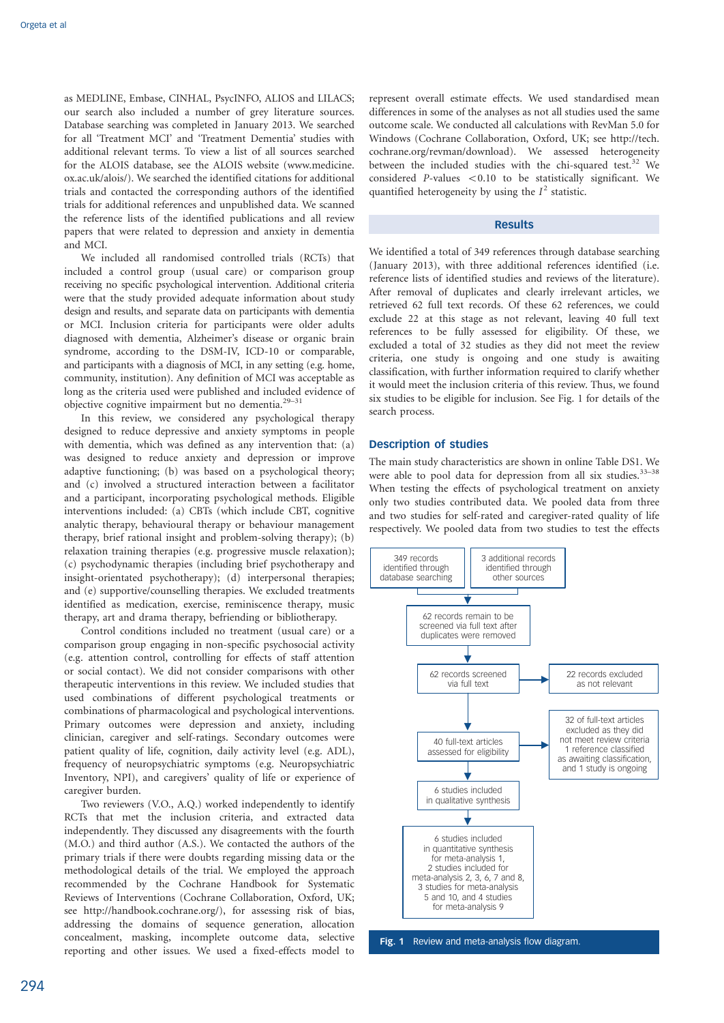as MEDLINE, Embase, CINHAL, PsycINFO, ALIOS and LILACS; our search also included a number of grey literature sources. Database searching was completed in January 2013. We searched for all 'Treatment MCI' and 'Treatment Dementia' studies with additional relevant terms. To view a list of all sources searched for the ALOIS database, see the ALOIS website (www.medicine. ox.ac.uk/alois/). We searched the identified citations for additional trials and contacted the corresponding authors of the identified trials for additional references and unpublished data. We scanned the reference lists of the identified publications and all review papers that were related to depression and anxiety in dementia and MCI.

We included all randomised controlled trials (RCTs) that included a control group (usual care) or comparison group receiving no specific psychological intervention. Additional criteria were that the study provided adequate information about study design and results, and separate data on participants with dementia or MCI. Inclusion criteria for participants were older adults diagnosed with dementia, Alzheimer's disease or organic brain syndrome, according to the DSM-IV, ICD-10 or comparable, and participants with a diagnosis of MCI, in any setting (e.g. home, community, institution). Any definition of MCI was acceptable as long as the criteria used were published and included evidence of objective cognitive impairment but no dementia.29–31

In this review, we considered any psychological therapy designed to reduce depressive and anxiety symptoms in people with dementia, which was defined as any intervention that: (a) was designed to reduce anxiety and depression or improve adaptive functioning; (b) was based on a psychological theory; and (c) involved a structured interaction between a facilitator and a participant, incorporating psychological methods. Eligible interventions included: (a) CBTs (which include CBT, cognitive analytic therapy, behavioural therapy or behaviour management therapy, brief rational insight and problem-solving therapy); (b) relaxation training therapies (e.g. progressive muscle relaxation); (c) psychodynamic therapies (including brief psychotherapy and insight-orientated psychotherapy); (d) interpersonal therapies; and (e) supportive/counselling therapies. We excluded treatments identified as medication, exercise, reminiscence therapy, music therapy, art and drama therapy, befriending or bibliotherapy.

Control conditions included no treatment (usual care) or a comparison group engaging in non-specific psychosocial activity (e.g. attention control, controlling for effects of staff attention or social contact). We did not consider comparisons with other therapeutic interventions in this review. We included studies that used combinations of different psychological treatments or combinations of pharmacological and psychological interventions. Primary outcomes were depression and anxiety, including clinician, caregiver and self-ratings. Secondary outcomes were patient quality of life, cognition, daily activity level (e.g. ADL), frequency of neuropsychiatric symptoms (e.g. Neuropsychiatric Inventory, NPI), and caregivers' quality of life or experience of caregiver burden.

Two reviewers (V.O., A.Q.) worked independently to identify RCTs that met the inclusion criteria, and extracted data independently. They discussed any disagreements with the fourth (M.O.) and third author (A.S.). We contacted the authors of the primary trials if there were doubts regarding missing data or the methodological details of the trial. We employed the approach recommended by the Cochrane Handbook for Systematic Reviews of Interventions (Cochrane Collaboration, Oxford, UK; see http://handbook.cochrane.org/), for assessing risk of bias, addressing the domains of sequence generation, allocation concealment, masking, incomplete outcome data, selective reporting and other issues. We used a fixed-effects model to

represent overall estimate effects. We used standardised mean differences in some of the analyses as not all studies used the same outcome scale. We conducted all calculations with RevMan 5.0 for Windows (Cochrane Collaboration, Oxford, UK; see http://tech. cochrane.org/revman/download). We assessed heterogeneity between the included studies with the chi-squared test.<sup>32</sup> We considered  $P$ -values <0.10 to be statistically significant. We quantified heterogeneity by using the  $I^2$  statistic.

#### Results

We identified a total of 349 references through database searching (January 2013), with three additional references identified (i.e. reference lists of identified studies and reviews of the literature). After removal of duplicates and clearly irrelevant articles, we retrieved 62 full text records. Of these 62 references, we could exclude 22 at this stage as not relevant, leaving 40 full text references to be fully assessed for eligibility. Of these, we excluded a total of 32 studies as they did not meet the review criteria, one study is ongoing and one study is awaiting classification, with further information required to clarify whether it would meet the inclusion criteria of this review. Thus, we found six studies to be eligible for inclusion. See Fig. 1 for details of the search process.

#### Description of studies

The main study characteristics are shown in online Table DS1. We were able to pool data for depression from all six studies.  $33-38$ When testing the effects of psychological treatment on anxiety only two studies contributed data. We pooled data from three and two studies for self-rated and caregiver-rated quality of life respectively. We pooled data from two studies to test the effects

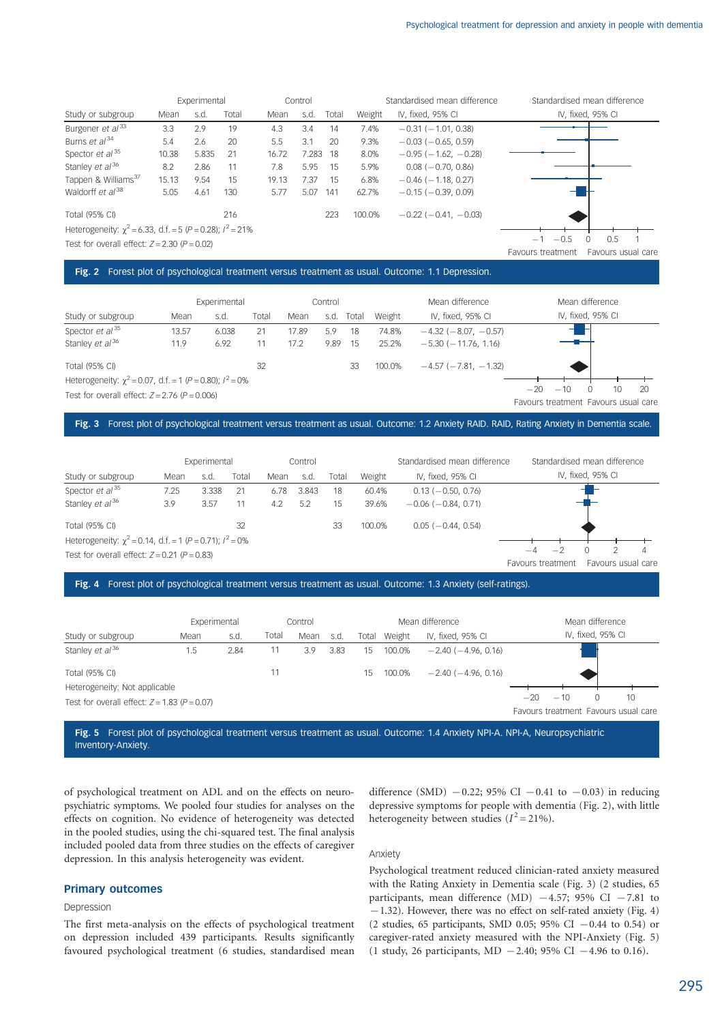|                                                                  |       | Experimental |       |       | Control  |       |        | Standardised mean difference  | Standardised mean difference            |
|------------------------------------------------------------------|-------|--------------|-------|-------|----------|-------|--------|-------------------------------|-----------------------------------------|
| Study or subgroup                                                | Mean  | s.d.         | Total | Mean  | s.d.     | Total | Weight | IV, fixed, 95% CI             | IV, fixed, 95% CI                       |
| Burgener et al <sup>33</sup>                                     | 3.3   | 2.9          | 19    | 4.3   | 3.4      | 14    | 7.4%   | $-0.31(-1.01, 0.38)$          |                                         |
| Burns et al <sup>34</sup>                                        | 5.4   | 2.6          | 20    | 5.5   | 3.1      | 20    | 9.3%   | $-0.03$ ( $-0.65$ , 0.59)     |                                         |
| Spector et al <sup>35</sup>                                      | 10.38 | 5.835        | -21   | 16.72 | 7.283 18 |       | 8.0%   | $-0.95(-1.62, -0.28)$         |                                         |
| Stanley et al <sup>36</sup>                                      | 8.2   | 2.86         | 11    | 7.8   | 5.95     | - 15  | 5.9%   | $0.08(-0.70, 0.86)$           |                                         |
| Tappen & Williams <sup>37</sup>                                  | 15.13 | 9.54         | 15    | 19.13 | 7.37     | - 15  | 6.8%   | $-0.46$ ( $-1.18$ , 0.27)     |                                         |
| Waldorff et al <sup>38</sup>                                     | 5.05  | 4.61         | 130   | 5.77  | 5.07     | 141   | 62.7%  | $-0.15$ ( $-0.39$ , 0.09)     |                                         |
| <b>Total (95% CI)</b>                                            |       |              | 216   |       |          | 223   | 100.0% | $-0.22$ ( $-0.41$ , $-0.03$ ) |                                         |
| Heterogeneity: $\chi^2$ = 6.33, d.f. = 5 (P = 0.28); $l^2$ = 21% |       |              |       |       |          |       |        |                               |                                         |
| Test for overall effect: $Z = 2.30$ ( $P = 0.02$ )               |       |              |       |       |          |       |        |                               | $-0.5$<br>0.5<br>$-1$                   |
|                                                                  |       |              |       |       |          |       |        |                               | Favours usual care<br>Favours treatment |

## Fig. 2 Forest plot of psychological treatment versus treatment as usual. Outcome: 1.1 Depression.

|                                                                     |       | Experimental |       |       | Control |       |        | Mean difference               |                                      |       | Mean difference   |    |    |
|---------------------------------------------------------------------|-------|--------------|-------|-------|---------|-------|--------|-------------------------------|--------------------------------------|-------|-------------------|----|----|
| Study or subgroup                                                   | Mean  | s.d.         | Total | Mean  | s.d.    | Total | Weight | IV, fixed, 95% CI             |                                      |       | IV, fixed, 95% CI |    |    |
| Spector et $al^{35}$                                                | 13.57 | 6.038        | 21    | 17.89 | 5.9     | 18    | 74.8%  | $-4.32$ ( $-8.07$ , $-0.57$ ) |                                      |       |                   |    |    |
| Stanley et al <sup>36</sup>                                         | 11.9  | 6.92         |       | 17.2  | 9.89    | -15   | 25.2%  | $-5.30(-11.76.1.16)$          |                                      |       |                   |    |    |
| Total (95% CI)                                                      |       |              | 32    |       |         | 33    | 100.0% | $-4.57$ ( $-7.81$ , $-1.32$ ) |                                      |       |                   |    |    |
| Heterogeneity: $\gamma^2 = 0.07$ , d.f. = 1 (P = 0.80); $l^2 = 0\%$ |       |              |       |       |         |       |        |                               |                                      |       |                   |    |    |
| Test for overall effect: $Z = 2.76$ ( $P = 0.006$ )                 |       |              |       |       |         |       |        |                               | $-20$                                | $-10$ |                   | 10 | 20 |
|                                                                     |       |              |       |       |         |       |        |                               | Favours treatment Favours usual care |       |                   |    |    |

## Fig. 3 Forest plot of psychological treatment versus treatment as usual. Outcome: 1.2 Anxiety RAID. RAID, Rating Anxiety in Dementia scale.

|                                                                 |      | Experimental |       |      | Control |       |        | Standardised mean difference | Standardised mean difference            |
|-----------------------------------------------------------------|------|--------------|-------|------|---------|-------|--------|------------------------------|-----------------------------------------|
| Study or subgroup                                               | Mean | s.d.         | Total | Mean | s.d     | Total | Weight | IV, fixed, 95% CI            | IV, fixed, 95% CI                       |
| Spector $et$ al <sup>35</sup>                                   | 7.25 | 3.338        | 21    | 6.78 | 3.843   | 18    | 60.4%  | $0.13(-0.50, 0.76)$          |                                         |
| Stanley et al <sup>36</sup>                                     | 3.9  | 3.57         | 11    | 4.2  | 5.2     | 15    | 39.6%  | $-0.06$ ( $-0.84$ , 0.71)    |                                         |
| <b>Total (95% CI)</b>                                           |      |              | 32    |      |         | 33    | 100.0% | $0.05(-0.44, 0.54)$          |                                         |
| Heterogeneity: $\chi^2$ = 0.14, d.f. = 1 (P = 0.71); $l^2$ = 0% |      |              |       |      |         |       |        |                              |                                         |
| Test for overall effect: $Z = 0.21$ ( $P = 0.83$ )              |      |              |       |      |         |       |        |                              |                                         |
|                                                                 |      |              |       |      |         |       |        |                              | Favours usual care<br>Favours treatment |

#### Fig. 4 Forest plot of psychological treatment versus treatment as usual. Outcome: 1.3 Anxiety (self-ratings).

|                                                    | Experimental |      |       | Control |      |       |        | Mean difference           |       |       | Mean difference   |                                      |
|----------------------------------------------------|--------------|------|-------|---------|------|-------|--------|---------------------------|-------|-------|-------------------|--------------------------------------|
| Study or subgroup                                  | Mean         | s.d  | Total | Mean    | s.d. | Total | Weight | IV, fixed, 95% CI         |       |       | IV, fixed, 95% CI |                                      |
| Stanley et al <sup>36</sup>                        | 1.5          | 2.84 | 11    | 3.9     | 3.83 | 15    | 100.0% | $-2.40(-4.96, 0.16)$      |       |       |                   |                                      |
| Total (95% CI)                                     |              |      | 11    |         |      | 15    | 100.0% | $-2.40$ ( $-4.96$ , 0.16) |       |       |                   |                                      |
| Heterogeneity: Not applicable                      |              |      |       |         |      |       |        |                           |       |       |                   |                                      |
| Test for overall effect: $Z = 1.83$ ( $P = 0.07$ ) |              |      |       |         |      |       |        |                           | $-20$ | $-10$ |                   | 10                                   |
|                                                    |              |      |       |         |      |       |        |                           |       |       |                   | Favours treatment Favours usual care |

Fig. 5 Forest plot of psychological treatment versus treatment as usual. Outcome: 1.4 Anxiety NPI-A. NPI-A, Neuropsychiatric Inventory-Anxiety.

of psychological treatment on ADL and on the effects on neuropsychiatric symptoms. We pooled four studies for analyses on the effects on cognition. No evidence of heterogeneity was detected in the pooled studies, using the chi-squared test. The final analysis included pooled data from three studies on the effects of caregiver depression. In this analysis heterogeneity was evident.

### Primary outcomes

#### Depression

The first meta-analysis on the effects of psychological treatment on depression included 439 participants. Results significantly favoured psychological treatment (6 studies, standardised mean difference (SMD)  $-0.22$ ; 95% CI  $-0.41$  to  $-0.03$ ) in reducing depressive symptoms for people with dementia (Fig. 2), with little heterogeneity between studies  $(I^2 = 21\%)$ .

#### Anxiety

Psychological treatment reduced clinician-rated anxiety measured with the Rating Anxiety in Dementia scale (Fig. 3) (2 studies, 65 participants, mean difference (MD)  $-4.57$ ; 95% CI  $-7.81$  to  $-1.32$ ). However, there was no effect on self-rated anxiety (Fig. 4) (2 studies, 65 participants, SMD 0.05; 95% CI  $-0.44$  to 0.54) or caregiver-rated anxiety measured with the NPI-Anxiety (Fig. 5) (1 study, 26 participants, MD  $-2.40$ ; 95% CI  $-4.96$  to 0.16).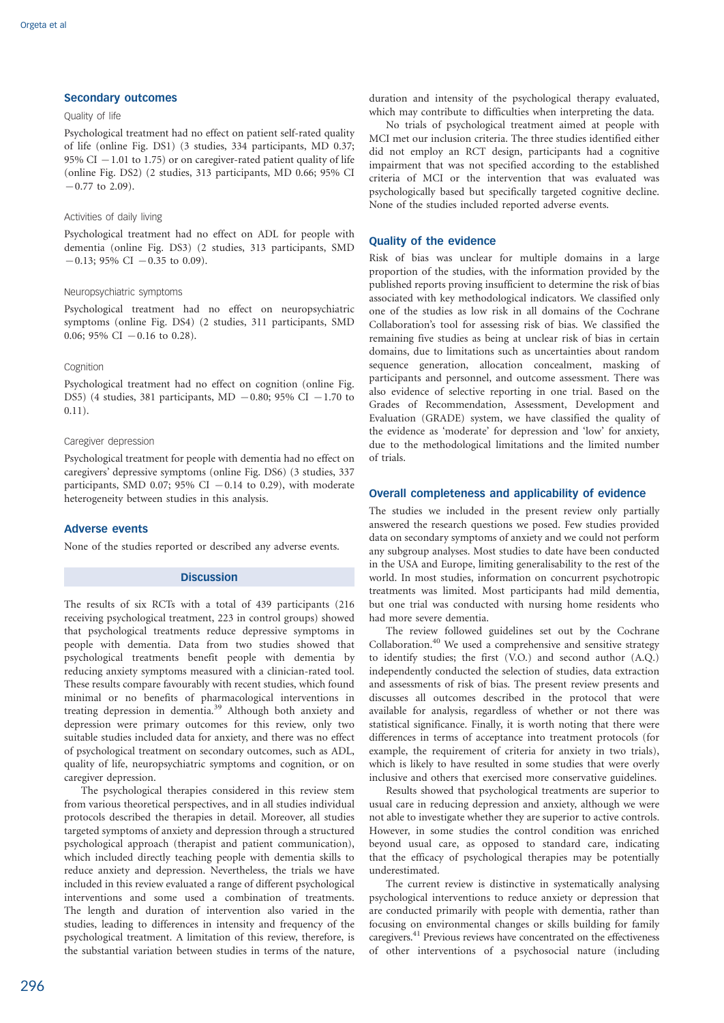## Secondary outcomes

## Quality of life

Psychological treatment had no effect on patient self-rated quality of life (online Fig. DS1) (3 studies, 334 participants, MD 0.37; 95% CI  $-1.01$  to 1.75) or on caregiver-rated patient quality of life (online Fig. DS2) (2 studies, 313 participants, MD 0.66; 95% CI  $-0.77$  to 2.09).

#### Activities of daily living

Psychological treatment had no effect on ADL for people with dementia (online Fig. DS3) (2 studies, 313 participants, SMD  $-0.13$ ; 95% CI  $-0.35$  to 0.09).

#### Neuropsychiatric symptoms

Psychological treatment had no effect on neuropsychiatric symptoms (online Fig. DS4) (2 studies, 311 participants, SMD 0.06; 95% CI  $-0.16$  to 0.28).

#### Cognition

Psychological treatment had no effect on cognition (online Fig. DS5) (4 studies, 381 participants, MD  $-0.80$ ; 95% CI  $-1.70$  to  $(0.11)$ .

#### Caregiver depression

Psychological treatment for people with dementia had no effect on caregivers' depressive symptoms (online Fig. DS6) (3 studies, 337 participants, SMD 0.07; 95% CI  $-0.14$  to 0.29), with moderate heterogeneity between studies in this analysis.

## Adverse events

None of the studies reported or described any adverse events.

## **Discussion**

The results of six RCTs with a total of 439 participants (216 receiving psychological treatment, 223 in control groups) showed that psychological treatments reduce depressive symptoms in people with dementia. Data from two studies showed that psychological treatments benefit people with dementia by reducing anxiety symptoms measured with a clinician-rated tool. These results compare favourably with recent studies, which found minimal or no benefits of pharmacological interventions in treating depression in dementia.<sup>39</sup> Although both anxiety and depression were primary outcomes for this review, only two suitable studies included data for anxiety, and there was no effect of psychological treatment on secondary outcomes, such as ADL, quality of life, neuropsychiatric symptoms and cognition, or on caregiver depression.

The psychological therapies considered in this review stem from various theoretical perspectives, and in all studies individual protocols described the therapies in detail. Moreover, all studies targeted symptoms of anxiety and depression through a structured psychological approach (therapist and patient communication), which included directly teaching people with dementia skills to reduce anxiety and depression. Nevertheless, the trials we have included in this review evaluated a range of different psychological interventions and some used a combination of treatments. The length and duration of intervention also varied in the studies, leading to differences in intensity and frequency of the psychological treatment. A limitation of this review, therefore, is the substantial variation between studies in terms of the nature,

duration and intensity of the psychological therapy evaluated, which may contribute to difficulties when interpreting the data.

No trials of psychological treatment aimed at people with MCI met our inclusion criteria. The three studies identified either did not employ an RCT design, participants had a cognitive impairment that was not specified according to the established criteria of MCI or the intervention that was evaluated was psychologically based but specifically targeted cognitive decline. None of the studies included reported adverse events.

#### Quality of the evidence

Risk of bias was unclear for multiple domains in a large proportion of the studies, with the information provided by the published reports proving insufficient to determine the risk of bias associated with key methodological indicators. We classified only one of the studies as low risk in all domains of the Cochrane Collaboration's tool for assessing risk of bias. We classified the remaining five studies as being at unclear risk of bias in certain domains, due to limitations such as uncertainties about random sequence generation, allocation concealment, masking of participants and personnel, and outcome assessment. There was also evidence of selective reporting in one trial. Based on the Grades of Recommendation, Assessment, Development and Evaluation (GRADE) system, we have classified the quality of the evidence as 'moderate' for depression and 'low' for anxiety, due to the methodological limitations and the limited number of trials.

#### Overall completeness and applicability of evidence

The studies we included in the present review only partially answered the research questions we posed. Few studies provided data on secondary symptoms of anxiety and we could not perform any subgroup analyses. Most studies to date have been conducted in the USA and Europe, limiting generalisability to the rest of the world. In most studies, information on concurrent psychotropic treatments was limited. Most participants had mild dementia, but one trial was conducted with nursing home residents who had more severe dementia.

The review followed guidelines set out by the Cochrane Collaboration.<sup>40</sup> We used a comprehensive and sensitive strategy to identify studies; the first (V.O.) and second author (A.Q.) independently conducted the selection of studies, data extraction and assessments of risk of bias. The present review presents and discusses all outcomes described in the protocol that were available for analysis, regardless of whether or not there was statistical significance. Finally, it is worth noting that there were differences in terms of acceptance into treatment protocols (for example, the requirement of criteria for anxiety in two trials), which is likely to have resulted in some studies that were overly inclusive and others that exercised more conservative guidelines.

Results showed that psychological treatments are superior to usual care in reducing depression and anxiety, although we were not able to investigate whether they are superior to active controls. However, in some studies the control condition was enriched beyond usual care, as opposed to standard care, indicating that the efficacy of psychological therapies may be potentially underestimated.

The current review is distinctive in systematically analysing psychological interventions to reduce anxiety or depression that are conducted primarily with people with dementia, rather than focusing on environmental changes or skills building for family caregivers.<sup>41</sup> Previous reviews have concentrated on the effectiveness of other interventions of a psychosocial nature (including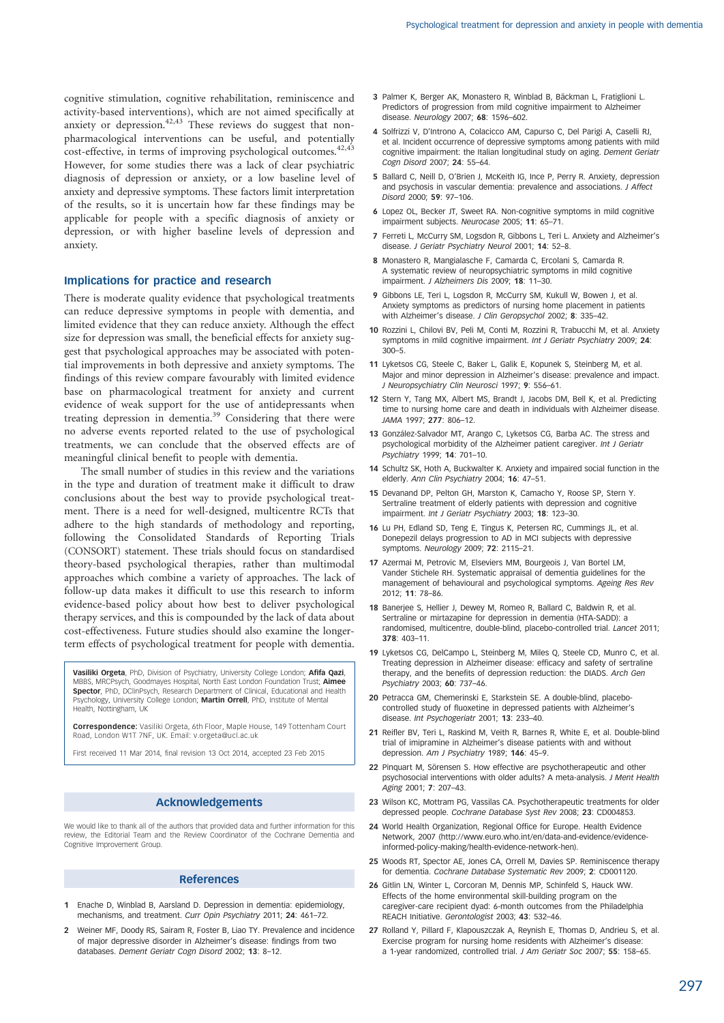cognitive stimulation, cognitive rehabilitation, reminiscence and activity-based interventions), which are not aimed specifically at anxiety or depression.<sup>42,43</sup> These reviews do suggest that nonpharmacological interventions can be useful, and potentially cost-effective, in terms of improving psychological outcomes.<sup>42,43</sup> However, for some studies there was a lack of clear psychiatric diagnosis of depression or anxiety, or a low baseline level of anxiety and depressive symptoms. These factors limit interpretation of the results, so it is uncertain how far these findings may be applicable for people with a specific diagnosis of anxiety or depression, or with higher baseline levels of depression and anxiety.

#### Implications for practice and research

There is moderate quality evidence that psychological treatments can reduce depressive symptoms in people with dementia, and limited evidence that they can reduce anxiety. Although the effect size for depression was small, the beneficial effects for anxiety suggest that psychological approaches may be associated with potential improvements in both depressive and anxiety symptoms. The findings of this review compare favourably with limited evidence base on pharmacological treatment for anxiety and current evidence of weak support for the use of antidepressants when treating depression in dementia.<sup>39</sup> Considering that there were no adverse events reported related to the use of psychological treatments, we can conclude that the observed effects are of meaningful clinical benefit to people with dementia.

The small number of studies in this review and the variations in the type and duration of treatment make it difficult to draw conclusions about the best way to provide psychological treatment. There is a need for well-designed, multicentre RCTs that adhere to the high standards of methodology and reporting, following the Consolidated Standards of Reporting Trials (CONSORT) statement. These trials should focus on standardised theory-based psychological therapies, rather than multimodal approaches which combine a variety of approaches. The lack of follow-up data makes it difficult to use this research to inform evidence-based policy about how best to deliver psychological therapy services, and this is compounded by the lack of data about cost-effectiveness. Future studies should also examine the longerterm effects of psychological treatment for people with dementia.

Vasiliki Orgeta, PhD, Division of Psychiatry, University College London; Afifa Qazi, MBBS, MRCPsych, Goodmayes Hospital, North East London Foundation Trust; Aimee Spector, PhD, DClinPsych, Research Department of Clinical, Educational and Health Psychology, University College London; Martin Orrell, PhD, Institute of Mental Health, Nottingham, UK

Correspondence: Vasiliki Orgeta, 6th Floor, Maple House, 149 Tottenham Court Road, London W1T 7NF, UK. Email: v.orgeta@ucl.ac.uk

First received 11 Mar 2014, final revision 13 Oct 2014, accepted 23 Feb 2015

#### Acknowledgements

We would like to thank all of the authors that provided data and further information for this review, the Editorial Team and the Review Coordinator of the Cochrane Dementia and Cognitive Improvement Group.

#### References

- 1 Enache D, Winblad B, Aarsland D. Depression in dementia: epidemiology, mechanisms, and treatment. Curr Opin Psychiatry 2011; 24: 461–72.
- 2 Weiner MF, Doody RS, Sairam R, Foster B, Liao TY. Prevalence and incidence of major depressive disorder in Alzheimer's disease: findings from two databases. Dement Geriatr Cogn Disord 2002; 13: 8–12.
- 3 Palmer K, Berger AK, Monastero R, Winblad B, Bäckman L, Fratiglioni L. Predictors of progression from mild cognitive impairment to Alzheimer disease. Neurology 2007; 68: 1596–602.
- 4 Solfrizzi V, D'Introno A, Colacicco AM, Capurso C, Del Parigi A, Caselli RJ, et al. Incident occurrence of depressive symptoms among patients with mild cognitive impairment: the Italian longitudinal study on aging. Dement Geriatr Cogn Disord 2007; 24: 55–64.
- 5 Ballard C, Neill D, O'Brien J, McKeith IG, Ince P, Perry R. Anxiety, depression and psychosis in vascular dementia: prevalence and associations. J Affect Disord 2000; 59: 97–106.
- 6 Lopez OL, Becker JT, Sweet RA. Non-cognitive symptoms in mild cognitive impairment subjects. Neurocase 2005; 11: 65–71.
- 7 Ferreti L, McCurry SM, Logsdon R, Gibbons L, Teri L. Anxiety and Alzheimer's disease. J Geriatr Psychiatry Neurol 2001; 14: 52–8.
- 8 Monastero R, Mangialasche F, Camarda C, Ercolani S, Camarda R. A systematic review of neuropsychiatric symptoms in mild cognitive impairment. J Alzheimers Dis 2009; 18: 11–30.
- 9 Gibbons LE, Teri L, Logsdon R, McCurry SM, Kukull W, Bowen J, et al. Anxiety symptoms as predictors of nursing home placement in patients with Alzheimer's disease. J Clin Geropsychol 2002; 8: 335–42.
- 10 Rozzini L, Chilovi BV, Peli M, Conti M, Rozzini R, Trabucchi M, et al. Anxiety symptoms in mild cognitive impairment. Int J Geriatr Psychiatry 2009; 24: 300–5.
- 11 Lyketsos CG, Steele C, Baker L, Galik E, Kopunek S, Steinberg M, et al. Major and minor depression in Alzheimer's disease: prevalence and impact. J Neuropsychiatry Clin Neurosci 1997; 9: 556–61.
- 12 Stern Y, Tang MX, Albert MS, Brandt J, Jacobs DM, Bell K, et al. Predicting time to nursing home care and death in individuals with Alzheimer disease. JAMA 1997; 277: 806–12.
- 13 González-Salvador MT, Arango C, Lyketsos CG, Barba AC, The stress and psychological morbidity of the Alzheimer patient caregiver. Int J Geriatr Psychiatry 1999; 14: 701–10.
- 14 Schultz SK, Hoth A, Buckwalter K. Anxiety and impaired social function in the elderly. Ann Clin Psychiatry 2004; 16: 47–51.
- 15 Devanand DP, Pelton GH, Marston K, Camacho Y, Roose SP, Stern Y. Sertraline treatment of elderly patients with depression and cognitive impairment. Int J Geriatr Psychiatry 2003; 18: 123–30.
- 16 Lu PH, Edland SD, Teng E, Tingus K, Petersen RC, Cummings JL, et al. Donepezil delays progression to AD in MCI subjects with depressive symptoms. Neurology 2009; 72: 2115–21.
- 17 Azermai M, Petrovic M, Elseviers MM, Bourgeois J, Van Bortel LM, Vander Stichele RH. Systematic appraisal of dementia guidelines for the management of behavioural and psychological symptoms. Ageing Res Rev 2012; 11: 78–86.
- 18 Banerjee S, Hellier J, Dewey M, Romeo R, Ballard C, Baldwin R, et al. Sertraline or mirtazapine for depression in dementia (HTA-SADD): a randomised, multicentre, double-blind, placebo-controlled trial. Lancet 2011; 378: 403–11.
- 19 Lyketsos CG, DelCampo L, Steinberg M, Miles Q, Steele CD, Munro C, et al. Treating depression in Alzheimer disease: efficacy and safety of sertraline therapy, and the benefits of depression reduction: the DIADS. Arch Gen Psychiatry 2003; 60: 737–46.
- 20 Petracca GM, Chemerinski E, Starkstein SE. A double-blind, placebocontrolled study of fluoxetine in depressed patients with Alzheimer's disease. Int Psychogeriatr 2001; 13: 233–40.
- 21 Reifler BV, Teri L, Raskind M, Veith R, Barnes R, White E, et al. Double-blind trial of imipramine in Alzheimer's disease patients with and without depression. Am J Psychiatry 1989; 146: 45-9.
- 22 Pinquart M, Sörensen S. How effective are psychotherapeutic and other psychosocial interventions with older adults? A meta-analysis. J Ment Health Aging 2001; 7: 207–43.
- 23 Wilson KC, Mottram PG, Vassilas CA. Psychotherapeutic treatments for older depressed people. Cochrane Database Syst Rev 2008; 23: CD004853.
- 24 World Health Organization, Regional Office for Europe. Health Evidence Network, 2007 (http://www.euro.who.int/en/data-and-evidence/evidenceinformed-policy-making/health-evidence-network-hen).
- 25 Woods RT, Spector AE, Jones CA, Orrell M, Davies SP. Reminiscence therapy for dementia. Cochrane Database Systematic Rev 2009; 2: CD001120.
- 26 Gitlin LN, Winter L, Corcoran M, Dennis MP, Schinfeld S, Hauck WW. Effects of the home environmental skill-building program on the caregiver-care recipient dyad: 6-month outcomes from the Philadelphia REACH Initiative. Gerontologist 2003; 43: 532–46.
- 27 Rolland Y, Pillard F, Klapouszczak A, Reynish E, Thomas D, Andrieu S, et al. Exercise program for nursing home residents with Alzheimer's disease a 1-year randomized, controlled trial. J Am Geriatr Soc 2007; 55: 158–65.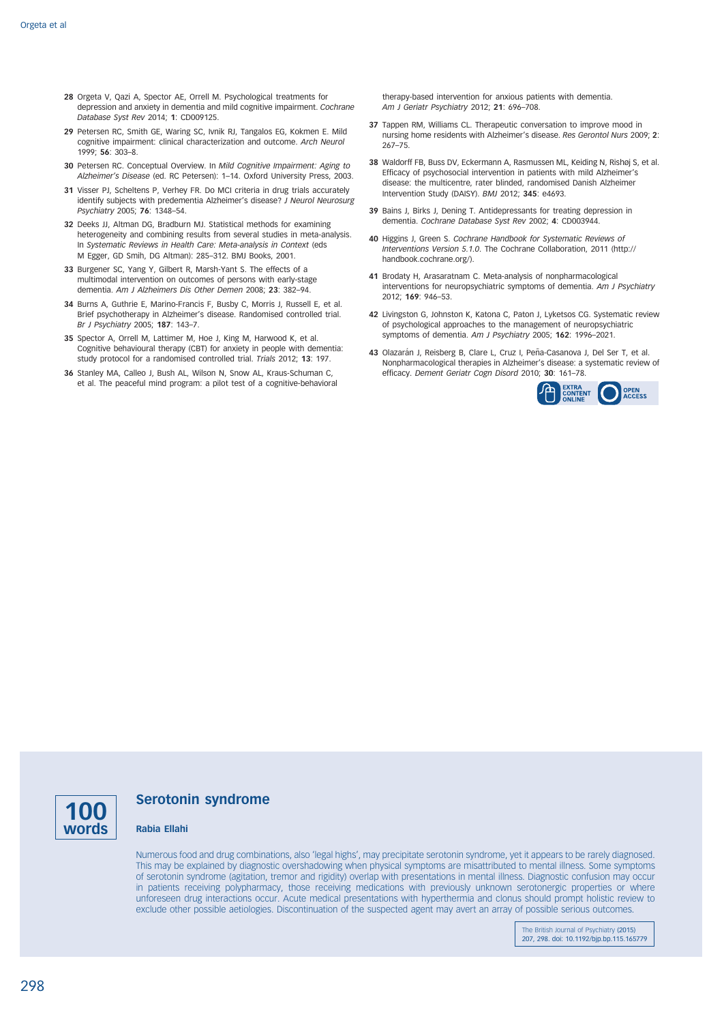- 28 Orgeta V, Qazi A, Spector AE, Orrell M. Psychological treatments for depression and anxiety in dementia and mild cognitive impairment. Cochrane Database Syst Rev 2014; 1: CD009125.
- 29 Petersen RC, Smith GE, Waring SC, Ivnik RJ, Tangalos EG, Kokmen E. Mild cognitive impairment: clinical characterization and outcome. Arch Neurol 1999; 56: 303–8.
- 30 Petersen RC. Conceptual Overview. In Mild Cognitive Impairment: Aging to Alzheimer's Disease (ed. RC Petersen): 1–14. Oxford University Press, 2003.
- 31 Visser PJ, Scheltens P, Verhey FR. Do MCI criteria in drug trials accurately identify subjects with predementia Alzheimer's disease? J Neurol Neurosurg Psychiatry 2005; 76: 1348–54.
- 32 Deeks JJ, Altman DG, Bradburn MJ. Statistical methods for examining heterogeneity and combining results from several studies in meta-analysis. In Systematic Reviews in Health Care: Meta-analysis in Context (eds M Egger, GD Smih, DG Altman): 285–312. BMJ Books, 2001.
- 33 Burgener SC, Yang Y, Gilbert R, Marsh-Yant S. The effects of a multimodal intervention on outcomes of persons with early-stage dementia. Am J Alzheimers Dis Other Demen 2008; 23: 382–94.
- 34 Burns A, Guthrie E, Marino-Francis F, Busby C, Morris J, Russell E, et al. Brief psychotherapy in Alzheimer's disease. Randomised controlled trial. Br J Psychiatry 2005; 187: 143–7.
- 35 Spector A, Orrell M, Lattimer M, Hoe J, King M, Harwood K, et al. Cognitive behavioural therapy (CBT) for anxiety in people with dementia: study protocol for a randomised controlled trial. Trials 2012: 13: 197.
- 36 Stanley MA, Calleo J, Bush AL, Wilson N, Snow AL, Kraus-Schuman C, et al. The peaceful mind program: a pilot test of a cognitive-behavioral

therapy-based intervention for anxious patients with dementia. Am J Geriatr Psychiatry 2012; 21: 696–708.

- 37 Tappen RM, Williams CL. Therapeutic conversation to improve mood in nursing home residents with Alzheimer's disease. Res Gerontol Nurs 2009; 2: 267–75.
- 38 Waldorff FB, Buss DV, Eckermann A, Rasmussen ML, Keiding N, Rishøj S, et al. Efficacy of psychosocial intervention in patients with mild Alzheimer's disease: the multicentre, rater blinded, randomised Danish Alzheimer Intervention Study (DAISY). BMJ 2012; 345: e4693.
- 39 Bains J, Birks J, Dening T. Antidepressants for treating depression in dementia. Cochrane Database Syst Rev 2002; 4: CD003944.
- 40 Higgins J, Green S. Cochrane Handbook for Systematic Reviews of Interventions Version 5.1.0. The Cochrane Collaboration, 2011 (http:// handbook.cochrane.org/).
- 41 Brodaty H, Arasaratnam C. Meta-analysis of nonpharmacological interventions for neuropsychiatric symptoms of dementia. Am J Psychiatry 2012; 169: 946–53.
- 42 Livingston G, Johnston K, Katona C, Paton J, Lyketsos CG. Systematic review of psychological approaches to the management of neuropsychiatric symptoms of dementia. Am J Psychiatry 2005; 162: 1996–2021.
- 43 Olazarán J, Reisberg B, Clare L, Cruz I, Peña-Casanova J, Del Ser T, et al. Nonpharmacological therapies in Alzheimer's disease: a systematic review of efficacy. Dement Geriatr Cogn Disord 2010; 30: 161–78.





## Serotonin syndrome

#### Rabia Ellahi

Numerous food and drug combinations, also 'legal highs', may precipitate serotonin syndrome, yet it appears to be rarely diagnosed. This may be explained by diagnostic overshadowing when physical symptoms are misattributed to mental illness. Some symptoms of serotonin syndrome (agitation, tremor and rigidity) overlap with presentations in mental illness. Diagnostic confusion may occur in patients receiving polypharmacy, those receiving medications with previously unknown serotonergic properties or where unforeseen drug interactions occur. Acute medical presentations with hyperthermia and clonus should prompt holistic review to exclude other possible aetiologies. Discontinuation of the suspected agent may avert an array of possible serious outcomes.

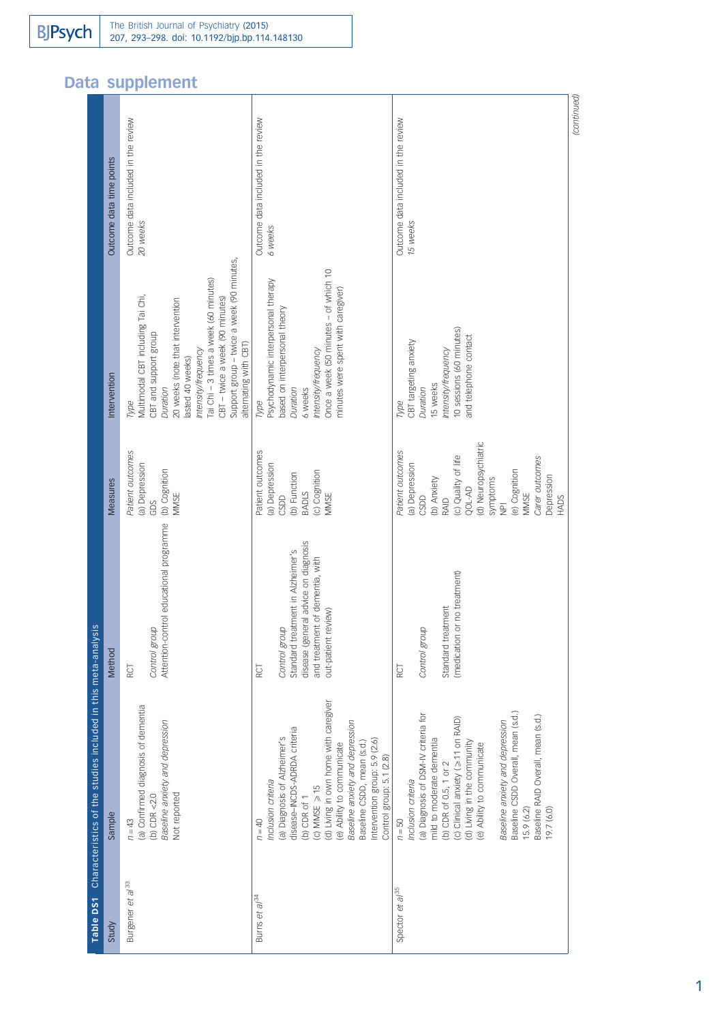# Data supplement

|                                                               | Outcome data time points | Outcome data included in the review<br>20 weeks                                                                                                                                                                                                                                                                 | Outcome data included in the review<br>6 weeks                                                                                                                                                                                                                                                                                            | Outcome data included in the review<br>15 weeks                                                                                                                                                                                                                                                                                                                              | (continued) |
|---------------------------------------------------------------|--------------------------|-----------------------------------------------------------------------------------------------------------------------------------------------------------------------------------------------------------------------------------------------------------------------------------------------------------------|-------------------------------------------------------------------------------------------------------------------------------------------------------------------------------------------------------------------------------------------------------------------------------------------------------------------------------------------|------------------------------------------------------------------------------------------------------------------------------------------------------------------------------------------------------------------------------------------------------------------------------------------------------------------------------------------------------------------------------|-------------|
|                                                               | Intervention             | Support group - twice a week (90 minutes,<br>Tai Chi - 3 times a week (60 minutes)<br>Multimodal CBT including Tai Chi,<br>CBT - twice a week (90 minutes)<br>20 weeks (note that intervention<br>CBT and support group<br>alternating with CBT)<br>Intensity/frequency<br>lasted 40 weeks)<br>Duration<br>Type | Once a week (50 minutes - of which 10<br>Psychodynamic interpersonal therapy<br>minutes were spent with caregiver)<br>based on interpersonal theory<br>Intensity/frequency<br>Duration<br>6 weeks<br>Type                                                                                                                                 | 10 sessions (60 minutes)<br>and telephone contact<br>CBT targeting anxiety<br>Intensity/frequency<br>15 weeks<br>Duration<br>Type                                                                                                                                                                                                                                            |             |
|                                                               | <b>Measures</b>          | Patient outcomes<br>(a) Depression<br>(b) Cognition<br>MMSE<br>GDS                                                                                                                                                                                                                                              | Patient outcomes<br>(a) Depression<br>(c) Cognition<br>(b) Function<br><b>BADLS</b><br>MMSE<br>CSDD                                                                                                                                                                                                                                       | (d) Neuropsychiatric<br>Patient outcomes<br>(c) Quality of life<br>Carer outcomes<br>(a) Depression<br>(e) Cognition<br>Depression<br>(b) Anxiety<br>symptoms<br>QOL-AD<br>MMSE<br>CSDD<br>RAID<br>HADS<br>$\overline{P}$                                                                                                                                                    |             |
|                                                               | Method                   | Attention-control educational programme<br>Control group<br><b>RCT</b>                                                                                                                                                                                                                                          | disease (general advice on diagnosis<br>Standard treatment in Alzheimer's<br>and treatment of dementia, with<br>out-patient review)<br>Control group<br>RCT                                                                                                                                                                               | (medication or no treatment)<br>Standard treatment<br>Control group<br>RCT                                                                                                                                                                                                                                                                                                   |             |
| Characteristics of the studies included in this meta-analysis | Sample                   | (a) Confirmed diagnosis of dementia<br>Baseline anxiety and depression<br>Not reported<br>(b) CDR $<$ 2.0<br>$n = 43$                                                                                                                                                                                           | (d) Living in own home with caregiver<br>Baseline anxiety and depression<br>disease-INCDS-ADRDA criteria<br>(a) Diagnosis of Alzheimer's<br>Intervention group: 5.9 (2.6)<br>Baseline CSDD, mean (s.d.)<br>(e) Ability to communicate<br>Control group: 5.1 (2.8)<br>Inclusion criteria<br>(c) MMSE $\geq 15$<br>(b) CDR of 1<br>$n = 40$ | Baseline CSDD Overall, mean (s.d.)<br>(a) Diagnosis of DSM-IV criteria for<br>Baseline RAID Overall, mean (s.d.)<br>(c) Clinical anxiety (≥ 11 on RAID)<br>Baseline anxiety and depression<br>mild to moderate dementia<br>(d) Living in the community<br>(e) Ability to communicate<br>(b) CDR of 0.5, 1 or 2<br>Inclusion criteria<br>15.9 (6.2)<br>19.7 (6.0)<br>$n = 50$ |             |
| Table DS1                                                     | Study                    | Burgener et al <sup>33</sup>                                                                                                                                                                                                                                                                                    | Burns et al <sup>34</sup>                                                                                                                                                                                                                                                                                                                 | Spector et al <sup>35</sup>                                                                                                                                                                                                                                                                                                                                                  |             |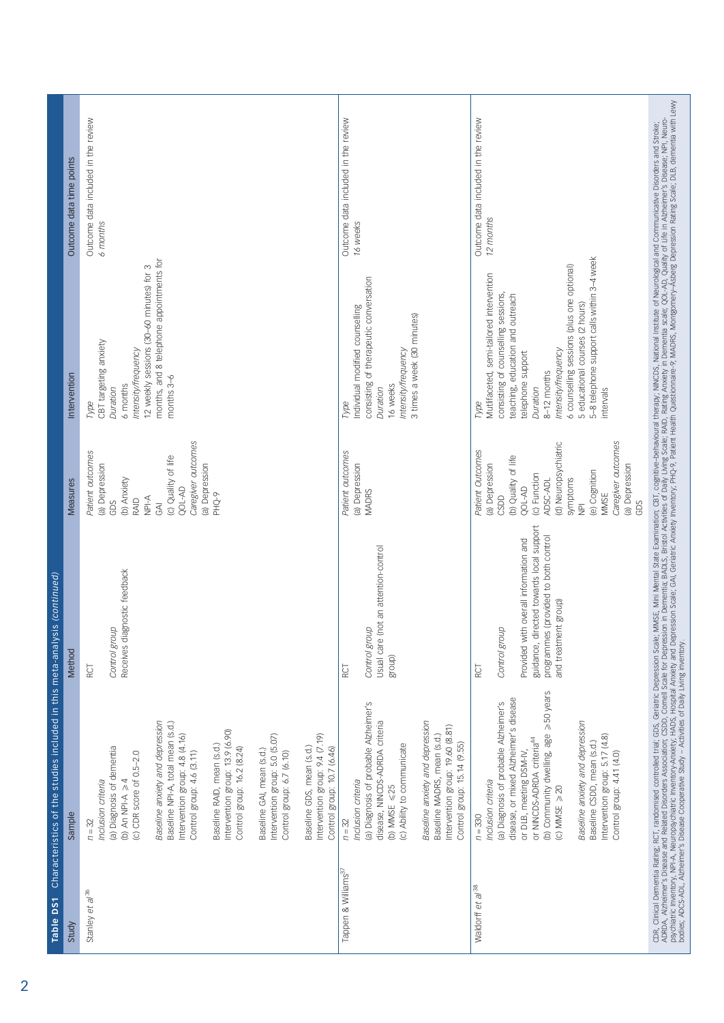| Table DS1                       | Characteristics of the studies included in this meta-analysis (continued)                                                                                                                                                                                                                                                                                                                                                                                                                                                                       |                                                                                                                                                                              |                                                                                                                                                                                                                                              |                                                                                                                                                                                                                                                                                                                                         |                                                  |
|---------------------------------|-------------------------------------------------------------------------------------------------------------------------------------------------------------------------------------------------------------------------------------------------------------------------------------------------------------------------------------------------------------------------------------------------------------------------------------------------------------------------------------------------------------------------------------------------|------------------------------------------------------------------------------------------------------------------------------------------------------------------------------|----------------------------------------------------------------------------------------------------------------------------------------------------------------------------------------------------------------------------------------------|-----------------------------------------------------------------------------------------------------------------------------------------------------------------------------------------------------------------------------------------------------------------------------------------------------------------------------------------|--------------------------------------------------|
| Study                           | Sample                                                                                                                                                                                                                                                                                                                                                                                                                                                                                                                                          | Method                                                                                                                                                                       | <b>Measures</b>                                                                                                                                                                                                                              | Intervention                                                                                                                                                                                                                                                                                                                            | Outcome data time points                         |
| Stanley et al <sup>36</sup>     | Baseline anxiety and depression<br>Baseline NPI-A, total mean (s.d.)<br>Intervention group: 13.9 (6.90)<br>Intervention group: 5.0 (5.07)<br>Intervention group: 9.4 (7.19)<br>Intervention group: 4.8 (4.16)<br>Baseline RAID, mean (s.d.)<br>(a) Diagnosis of dementia<br>Baseline GDS, mean (s.d.)<br>Control group: 16.2 (8.24)<br>Control group: 10.7 (6.46)<br>Baseline GAI, mean (s.d.)<br>(c) CDR score of 0.5-2.0<br>Control group: 4.6 (3.11)<br>Control group: 6.7 (6.10)<br>(b) An NPI-A $\geq 4$<br>Inclusion criteria<br>$n = 32$ | Receives diagnostic feedback<br>Control group<br>RCT                                                                                                                         | Caregiver outcomes<br>Patient outcomes<br>(c) Quality of life<br>(a) Depression<br>(a) Depression<br>(b) Anxiety<br><b>QOL-AD</b><br>PHQ-9<br>$\overline{NP}$ -A<br>RAID<br>GDS<br>$\overline{3}$                                            | months, and 8 telephone appointments for<br>12 weekly sessions (30-60 minutes) for 3<br>CBT targeting anxiety<br>Intensity/frequency<br>months 3-6<br>6 months<br>Duration<br>Type                                                                                                                                                      | Outcome data included in the review<br>6 months  |
| Tappen & Williams <sup>37</sup> | (a) Diagnosis of probable Alzheimer's<br>Baseline anxiety and depression<br>disease, NINCDS-ADRDA criteria<br>Intervention group: 19.60 (8.81)<br>Baseline MADRS, mean (s.d.)<br>Control group: 15.14 (9.55)<br>(c) Ability to communicate<br>Inclusion criteria<br>(b) MMSE $\leq 25$<br>$n = 32$                                                                                                                                                                                                                                              | (not an attention-control<br>Control group<br>Usual care<br>group)<br>RCT                                                                                                    | Patient outcomes<br>(a) Depression<br><b>MADRS</b>                                                                                                                                                                                           | consisting of therapeutic conversation<br>Individual modified counselling<br>3 times a week (30 minutes)<br>Intensity/frequency<br>16 weeks<br>Duration<br>Type                                                                                                                                                                         | Outcome data included in the review<br>16 weeks  |
| Waldorff et al <sup>38</sup>    | ≥50 years<br>disease, or mixed Alzheimer's disease<br>(a) Diagnosis of probable Alzheimer's<br>Baseline anxiety and depression<br>(b) Community dwelling, age<br>Intervention group: 5.17 (4.8)<br>or NINCDS-ADRDA criteria <sup>44</sup><br>Baseline CSDD, mean (s.d.)<br>or DLB, meeting DSM-IV,<br>Control group: 4.41 (4.0)<br>Inclusion criteria<br>(c) MMSE $\geq 20$<br>$n = 330$                                                                                                                                                        | directed towards local support<br>programmes (provided to both control<br>Provided with overall information and<br>and treatment group)<br>Control group<br>guidance,<br>RCT | Caregiver outcomes<br>(d) Neuropsychiatric<br>Patient Outcomes<br>(b) Quality of life<br>(a) Depression<br>(a) Depression<br>(e) Cognition<br>(c) Function<br>symptoms<br>ADSC-ADL<br><b>QOL-AD</b><br>MMSE<br>CSDD<br>GDS<br>$\overline{2}$ | 5-8 telephone support calls within 3-4 week<br>6 counselling sessions (plus one optional)<br>Mutlifaceted, semi-tailored intervention<br>consisting of counselling sessions,<br>teaching, education and outreach<br>5 educational courses (2 hours)<br>Intensity/frequency<br>telephone support<br>8-12 months<br>Duration<br>intervals | Outcome data included in the review<br>12 months |
|                                 |                                                                                                                                                                                                                                                                                                                                                                                                                                                                                                                                                 |                                                                                                                                                                              |                                                                                                                                                                                                                                              | CDR, Clinical Demertia Rating; RCT, randomised controlled trial; GDS, Geriatic Depression Scale; MMSE, Mini Mental State Examination; CBT, cognitive–behavioural therapy; NNCDS, National Institute of Neurological and Commun                                                                                                          |                                                  |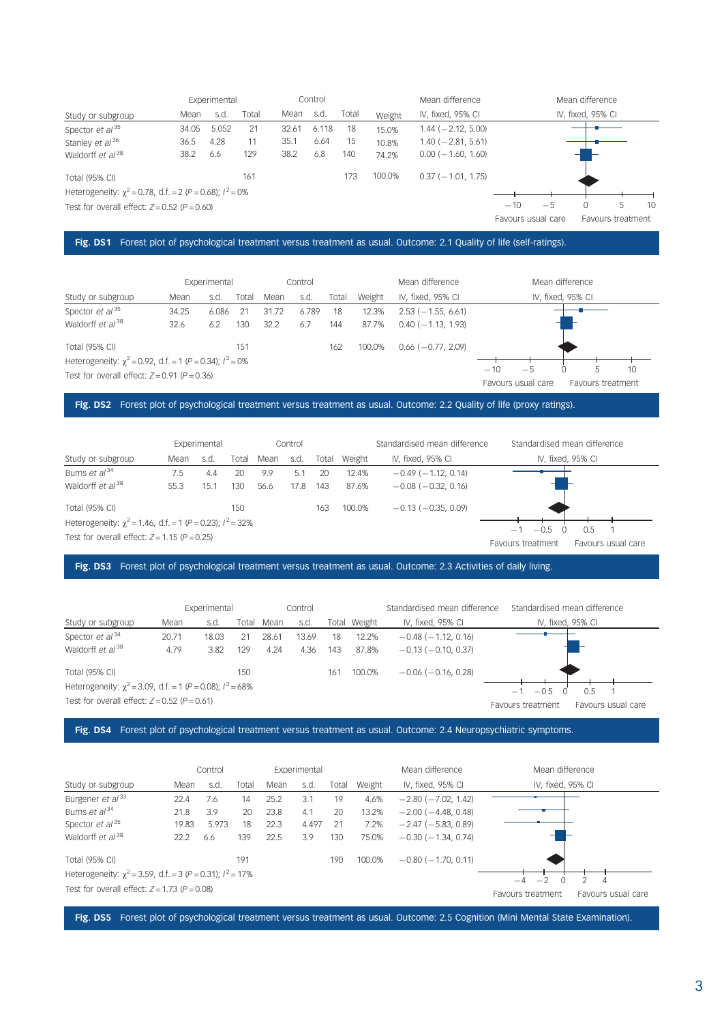|                                                                 |       | Experimental |       |       | Control |       |        | Mean difference             |       |                    | Mean difference   |                   |    |
|-----------------------------------------------------------------|-------|--------------|-------|-------|---------|-------|--------|-----------------------------|-------|--------------------|-------------------|-------------------|----|
| Study or subgroup                                               | Mean  | s.d          | Total | Mean  | s.d     | Total | Weight | IV, fixed, 95% CI           |       |                    | IV, fixed, 95% CI |                   |    |
| Spector $et$ al <sup>35</sup>                                   | 34.05 | 5.052        | 21    | 32.61 | 6.118   | 18    | 15.0%  | $1.44 (-2.12, 5.00)$        |       |                    |                   |                   |    |
| Stanley et al <sup>36</sup>                                     | 36.5  | 4.28         | 11    | 35.1  | 6.64    | 15    | 10.8%  | $1.40 (-2.81, 5.61)$        |       |                    |                   |                   |    |
| Waldorff et al <sup>38</sup>                                    | 38.2  | 6.6          | 129   | 38.2  | 6.8     | 140   | 74.2%  | $0.00$ ( $-1.60$ , $1.60$ ) |       |                    |                   |                   |    |
| Total (95% CI)                                                  |       |              | 161   |       |         | 173   | 100.0% | $0.37$ ( $-1.01$ , 1.75)    |       |                    |                   |                   |    |
| Heterogeneity: $\chi^2$ = 0.78, d.f. = 2 (P = 0.68); $l^2$ = 0% |       |              |       |       |         |       |        |                             |       |                    |                   |                   |    |
| Test for overall effect: $Z = 0.52$ ( $P = 0.60$ )              |       |              |       |       |         |       |        |                             | $-10$ | $-5$               | 0                 | 5                 | 10 |
|                                                                 |       |              |       |       |         |       |        |                             |       | Favours usual care |                   | Favours treatment |    |

## Fig. DS1 Forest plot of psychological treatment versus treatment as usual. Outcome: 2.1 Quality of life (self-ratings).

|                                                                     |       | Experimental |       |       | Control |       |        | Mean difference          | Mean difference                                                |
|---------------------------------------------------------------------|-------|--------------|-------|-------|---------|-------|--------|--------------------------|----------------------------------------------------------------|
| Study or subgroup                                                   | Mean  | s.d.         | Total | Mean  | s.d.    | Total | Weight | IV, fixed, 95% CI        | IV, fixed, 95% CI                                              |
| Spector $et$ al <sup>35</sup>                                       | 34.25 | 6.086        | 21    | 31.72 | 6.789   | 18    | 12.3%  | $2.53$ ( $-1.55$ , 6.61) |                                                                |
| Waldorff et al <sup>38</sup>                                        | 32.6  | 6.2          | 130   | 32.2  | 6.7     | 144   | 87.7%  | $0.40(-1.13, 1.93)$      |                                                                |
| Total (95% CI)                                                      |       |              | 151   |       |         | 162   | 100.0% | $0.66$ ( $-0.77$ , 2.09) |                                                                |
| Heterogeneity: $\gamma^2 = 0.92$ , d.f. = 1 (P = 0.34); $l^2 = 0\%$ |       |              |       |       |         |       |        |                          |                                                                |
| Test for overall effect: $Z = 0.91$ ( $P = 0.36$ )                  |       |              |       |       |         |       |        |                          | $-10$<br>$-5$<br>10<br>Favours usual care<br>Favours treatment |

## Fig. DS2 Forest plot of psychological treatment versus treatment as usual. Outcome: 2.2 Quality of life (proxy ratings).

|                                                                  |      | Experimental |       |      | Control |       |        | Standardised mean difference | Standardised mean difference                             |
|------------------------------------------------------------------|------|--------------|-------|------|---------|-------|--------|------------------------------|----------------------------------------------------------|
| Study or subgroup                                                | Mean | s.d          | Total | Mean | s.d.    | Total | Weight | IV, fixed, 95% CI            | IV, fixed, 95% CI                                        |
| Burns et al <sup>34</sup>                                        | 7.5  | 4.4          | 20    | 9.9  | 5.1     | -20   | 12.4%  | $-0.49$ ( $-1.12$ , 0.14)    |                                                          |
| Waldorff et al <sup>38</sup>                                     | 55.3 | 15.1         | 130   | 56.6 | 17.8    | 143   | 87.6%  | $-0.08$ ( $-0.32$ , 0.16)    |                                                          |
| <b>Total (95% CI)</b>                                            |      |              | 150   |      |         | 163   | 100.0% | $-0.13(-0.35, 0.09)$         |                                                          |
| Heterogeneity: $\chi^2$ = 1.46, d.f. = 1 (P = 0.23); $l^2$ = 32% |      |              |       |      |         |       |        |                              |                                                          |
| Test for overall effect: $Z = 1.15$ ( $P = 0.25$ )               |      |              |       |      |         |       |        |                              | $-0.5$<br>0.5<br>Favours treatment<br>Favours usual care |

## Fig. DS3 Forest plot of psychological treatment versus treatment as usual. Outcome: 2.3 Activities of daily living.

|                                                                  |       | Experimental |       |       | Control |       |        | Standardised mean difference | Standardised mean difference            |
|------------------------------------------------------------------|-------|--------------|-------|-------|---------|-------|--------|------------------------------|-----------------------------------------|
| Study or subgroup                                                | Mean  | s.d.         | Total | Mean  | s.d.    | Total | Weight | IV, fixed, 95% CI            | IV, fixed, 95% CI                       |
| Spector $et al^{34}$                                             | 20.71 | 18.03        |       | 28.61 | 13.69   | 18    | 12.2%  | $-0.48$ ( $-1.12$ , 0.16)    |                                         |
| Waldorff et $al^{38}$                                            | 4.79  | 3.82         | 129   | 4.24  | 4.36    | 143   | 87.8%  | $-0.13(-0.10, 0.37)$         |                                         |
| <b>Total (95% CI)</b>                                            |       |              | 150   |       |         | 161   | 100.0% | $-0.06$ ( $-0.16$ , 0.28)    |                                         |
| Heterogeneity: $\chi^2$ = 3.09, d.f. = 1 (P = 0.08); $l^2$ = 68% |       |              |       |       |         |       |        |                              | $-0.5$<br>0.5<br>- 1                    |
| Test for overall effect: $Z = 0.52$ ( $P = 0.61$ )               |       |              |       |       |         |       |        |                              | Favours usual care<br>Favours treatment |

## Fig. DS4 Forest plot of psychological treatment versus treatment as usual. Outcome: 2.4 Neuropsychiatric symptoms.

|                                                                  |       | Control |       |      | Experimental |       |        | Mean difference           | Mean difference                         |
|------------------------------------------------------------------|-------|---------|-------|------|--------------|-------|--------|---------------------------|-----------------------------------------|
| Study or subgroup                                                | Mean  | s.d     | Total | Mean | s.d.         | Total | Weight | IV, fixed, 95% CI         | IV, fixed, 95% CI                       |
| Burgener et al <sup>33</sup>                                     | 22.4  | 7.6     | 14    | 25.2 | 3.1          | 19    | 4.6%   | $-2.80$ ( $-7.02$ , 1.42) |                                         |
| Burns et al <sup>34</sup>                                        | 21.8  | 3.9     | 20    | 23.8 | 4.1          | 20    | 13.2%  | $-2.00$ ( $-4.48$ , 0.48) |                                         |
| Spector $et$ al <sup>35</sup>                                    | 19.83 | 5.973   | 18    | 22.3 | 4.497        | 21    | 7.2%   | $-2.47$ ( $-5.83$ , 0.89) |                                         |
| Waldorff et al <sup>38</sup>                                     | 22.2  | 6.6     | 139   | 22.5 | 3.9          | 130   | 75.0%  | $-0.30$ ( $-1.34$ , 0.74) |                                         |
| Total (95% CI)                                                   |       |         | 191   |      |              | 190   | 100.0% | $-0.80$ ( $-1.70$ , 0.11) |                                         |
| Heterogeneity: $\chi^2$ = 3.59, d.f. = 3 (P = 0.31); $l^2$ = 17% |       |         |       |      |              |       |        |                           | $-2$<br>$-4$                            |
| Test for overall effect: $Z = 1.73$ ( $P = 0.08$ )               |       |         |       |      |              |       |        |                           | Favours usual care<br>Favours treatment |

Fig. DS5 Forest plot of psychological treatment versus treatment as usual. Outcome: 2.5 Cognition (Mini Mental State Examination).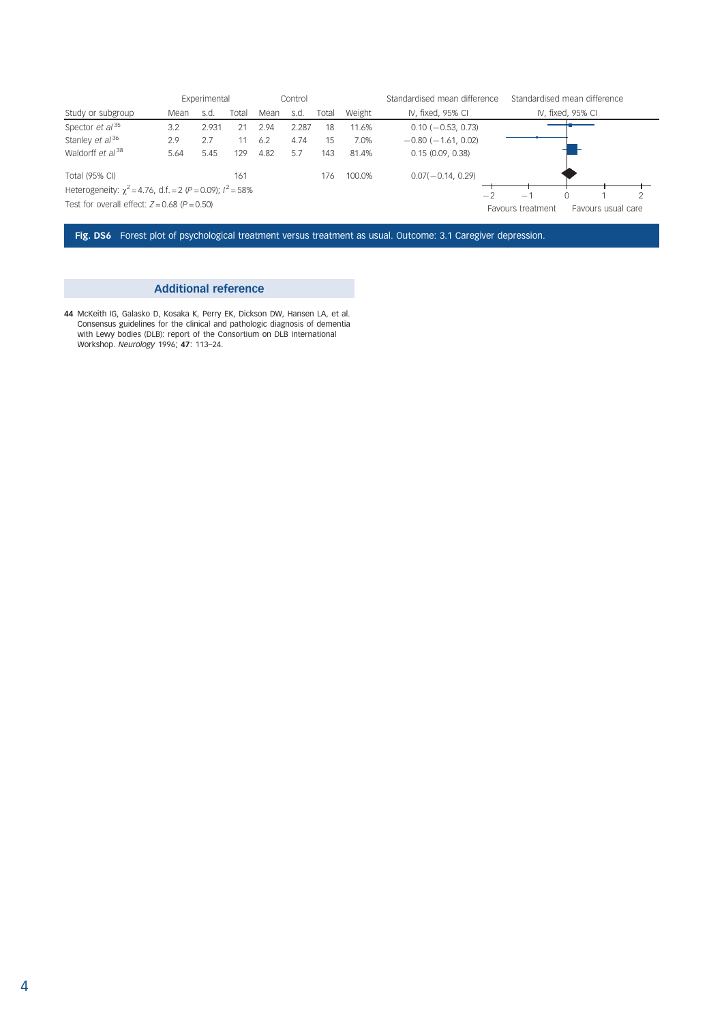|                                                                  |      | Experimental |       |      | Control |       |        | Standardised mean difference | Standardised mean difference |                   |                    |  |
|------------------------------------------------------------------|------|--------------|-------|------|---------|-------|--------|------------------------------|------------------------------|-------------------|--------------------|--|
| Study or subgroup                                                | Mean | s.d          | Total | Mean | s.d.    | Total | Weight | IV, fixed, 95% CI            |                              | IV, fixed, 95% CI |                    |  |
| Spector $et$ al <sup>35</sup>                                    | 3.2  | 2.931        | 21    | 2.94 | 2.287   | 18    | 11.6%  | $0.10$ ( $-0.53$ , 0.73)     |                              |                   |                    |  |
| Stanley et al <sup>36</sup>                                      | 2.9  | 2.7          | 11    | 6.2  | 4.74    | 15    | 7.0%   | $-0.80$ ( $-1.61$ , 0.02)    |                              |                   |                    |  |
| Waldorff et al <sup>38</sup>                                     | 5.64 | 5.45         | 129   | 4.82 | 5.7     | 143   | 81.4%  | 0.15(0.09, 0.38)             |                              |                   |                    |  |
| <b>Total (95% CI)</b>                                            |      |              | 161   |      |         | 176   | 100.0% | $0.07(-0.14, 0.29)$          |                              |                   |                    |  |
| Heterogeneity: $\chi^2$ = 4.76, d.f. = 2 (P = 0.09); $l^2$ = 58% |      |              |       |      |         |       |        | $-2$                         | $\overline{\phantom{0}}$     |                   |                    |  |
| Test for overall effect: $Z = 0.68$ ( $P = 0.50$ )               |      |              |       |      |         |       |        |                              | Favours treatment            |                   | Favours usual care |  |

Fig. DS6 Forest plot of psychological treatment versus treatment as usual. Outcome: 3.1 Caregiver depression.

## Additional reference

44 McKeith IG, Galasko D, Kosaka K, Perry EK, Dickson DW, Hansen LA, et al. Consensus guidelines for the clinical and pathologic diagnosis of dementia with Lewy bodies (DLB): report of the Consortium on DLB International Workshop. Neurology 1996; 47: 113–24.